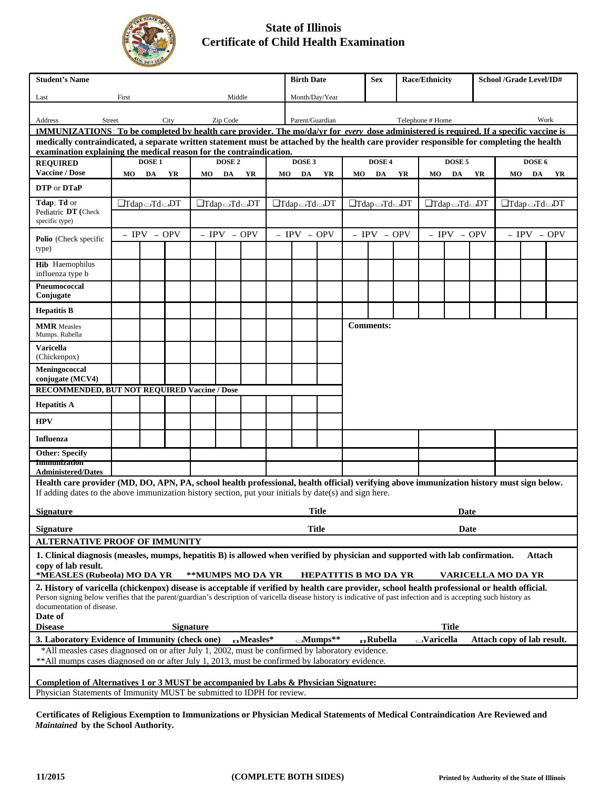

## **State of Illinois Certificate of Child Health Examination**

| <b>Student's Name</b>                                                                                                                                                                                             |                                 |                       |      |                                 |                   |                 |                                 | <b>Birth Date</b> |                |                                 | <b>Sex</b>                  |                                 | <b>Race/Ethnicity</b>   |                                 |    |    | <b>School /Grade Level/ID#</b> |    |
|-------------------------------------------------------------------------------------------------------------------------------------------------------------------------------------------------------------------|---------------------------------|-----------------------|------|---------------------------------|-------------------|-----------------|---------------------------------|-------------------|----------------|---------------------------------|-----------------------------|---------------------------------|-------------------------|---------------------------------|----|----|--------------------------------|----|
| Last                                                                                                                                                                                                              | First                           |                       |      |                                 | Middle            |                 |                                 | Month/Day/Year    |                |                                 |                             |                                 |                         |                                 |    |    |                                |    |
| Address<br>Street                                                                                                                                                                                                 |                                 |                       | City |                                 | Zip Code          |                 |                                 | Parent/Guardian   |                |                                 |                             |                                 | Telephone # Home        |                                 |    |    | Work                           |    |
| <b>IMMUNIZATIONS:</b> To be completed by health care provider. The mo/da/yr for every dose administered is required. If a specific vaccine is                                                                     |                                 |                       |      |                                 |                   |                 |                                 |                   |                |                                 |                             |                                 |                         |                                 |    |    |                                |    |
| medically contraindicated, a separate written statement must be attached by the health care provider responsible for completing the health<br>examination explaining the medical reason for the contraindication. |                                 |                       |      |                                 |                   |                 |                                 |                   |                |                                 |                             |                                 |                         |                                 |    |    |                                |    |
| <b>REQUIRED</b>                                                                                                                                                                                                   |                                 | DOSE <sub>1</sub>     |      |                                 | DOSE <sub>2</sub> |                 |                                 | DOSE <sub>3</sub> |                |                                 | DOSE 4                      |                                 |                         | DOSE <sub>5</sub>               |    |    | DOSE 6                         |    |
| <b>Vaccine / Dose</b>                                                                                                                                                                                             | MO                              | DA                    | YR   | MO                              | DA                | YR              | MO.                             | DA                | YR             | MO                              | DA                          | YR                              | MO                      | DA                              | YR | MO | DA                             | YR |
| DTP or DTaP                                                                                                                                                                                                       |                                 |                       |      |                                 |                   |                 |                                 |                   |                |                                 |                             |                                 |                         |                                 |    |    |                                |    |
| Tdap; Td or                                                                                                                                                                                                       | $\Box$ Tdap $\Box$ Td $\Box$ DT |                       |      | $\Box$ Tdap $\Box$ Td $\Box$ DT |                   |                 | $\Box$ Tdap $\Box$ Td $\Box$ DT |                   |                | $\Box$ Tdap $\Box$ Td $\Box$ DT |                             | $\Box$ Tdap $\Box$ Td $\Box$ DT |                         | $\Box$ Tdap $\Box$ Td $\Box$ DT |    |    |                                |    |
| Pediatric DT (Check<br>specific type)                                                                                                                                                                             |                                 |                       |      |                                 |                   |                 |                                 |                   |                |                                 |                             |                                 |                         |                                 |    |    |                                |    |
| Polio (Check specific                                                                                                                                                                                             |                                 | $\sim$ IPV $\sim$ OPV |      | $\sim$ IPV $\sim$ OPV           |                   |                 | $\sim$ IPV $\sim$ OPV           |                   |                | $\sim$ IPV $\sim$ OPV           |                             | $\sim$ IPV $\sim$ OPV           |                         | $\sim$ IPV $\sim$ OPV           |    |    |                                |    |
| type)                                                                                                                                                                                                             |                                 |                       |      |                                 |                   |                 |                                 |                   |                |                                 |                             |                                 |                         |                                 |    |    |                                |    |
| <b>Hib</b> Haemophilus<br>influenza type b                                                                                                                                                                        |                                 |                       |      |                                 |                   |                 |                                 |                   |                |                                 |                             |                                 |                         |                                 |    |    |                                |    |
| Pneumococcal<br>Conjugate                                                                                                                                                                                         |                                 |                       |      |                                 |                   |                 |                                 |                   |                |                                 |                             |                                 |                         |                                 |    |    |                                |    |
| <b>Hepatitis B</b>                                                                                                                                                                                                |                                 |                       |      |                                 |                   |                 |                                 |                   |                |                                 |                             |                                 |                         |                                 |    |    |                                |    |
| <b>MMR</b> Measles<br>Mumps. Rubella                                                                                                                                                                              |                                 |                       |      |                                 |                   |                 |                                 |                   |                |                                 |                             | <b>Comments:</b>                |                         |                                 |    |    |                                |    |
| <b>Varicella</b><br>(Chickenpox)                                                                                                                                                                                  |                                 |                       |      |                                 |                   |                 |                                 |                   |                |                                 |                             |                                 |                         |                                 |    |    |                                |    |
| Meningococcal<br>conjugate (MCV4)                                                                                                                                                                                 |                                 |                       |      |                                 |                   |                 |                                 |                   |                |                                 |                             |                                 |                         |                                 |    |    |                                |    |
| RECOMMENDED, BUT NOT REQUIRED Vaccine / Dose                                                                                                                                                                      |                                 |                       |      |                                 |                   |                 |                                 |                   |                |                                 |                             |                                 |                         |                                 |    |    |                                |    |
| <b>Hepatitis A</b>                                                                                                                                                                                                |                                 |                       |      |                                 |                   |                 |                                 |                   |                |                                 |                             |                                 |                         |                                 |    |    |                                |    |
| <b>HPV</b>                                                                                                                                                                                                        |                                 |                       |      |                                 |                   |                 |                                 |                   |                |                                 |                             |                                 |                         |                                 |    |    |                                |    |
| <b>Influenza</b>                                                                                                                                                                                                  |                                 |                       |      |                                 |                   |                 |                                 |                   |                |                                 |                             |                                 |                         |                                 |    |    |                                |    |
| <b>Other: Specify</b><br><b>Immunization</b>                                                                                                                                                                      |                                 |                       |      |                                 |                   |                 |                                 |                   |                |                                 |                             |                                 |                         |                                 |    |    |                                |    |
| <b>Administered/Dates</b>                                                                                                                                                                                         |                                 |                       |      |                                 |                   |                 |                                 |                   |                |                                 |                             |                                 |                         |                                 |    |    |                                |    |
| Health care provider (MD, DO, APN, PA, school health professional, health official) verifying above immunization history must sign below.                                                                         |                                 |                       |      |                                 |                   |                 |                                 |                   |                |                                 |                             |                                 |                         |                                 |    |    |                                |    |
| If adding dates to the above immunization history section, put your initials by date(s) and sign here.                                                                                                            |                                 |                       |      |                                 |                   |                 |                                 |                   |                |                                 |                             |                                 |                         |                                 |    |    |                                |    |
| <b>Title</b><br><b>Signature</b><br>Date                                                                                                                                                                          |                                 |                       |      |                                 |                   |                 |                                 |                   |                |                                 |                             |                                 |                         |                                 |    |    |                                |    |
| <b>Title</b><br><b>Signature</b>                                                                                                                                                                                  |                                 |                       |      |                                 |                   |                 |                                 |                   |                | Date                            |                             |                                 |                         |                                 |    |    |                                |    |
| <b>ALTERNATIVE PROOF OF IMMUNITY</b>                                                                                                                                                                              |                                 |                       |      |                                 |                   |                 |                                 |                   |                |                                 |                             |                                 |                         |                                 |    |    |                                |    |
| 1. Clinical diagnosis (measles, mumps, hepatitis B) is allowed when verified by physician and supported with lab confirmation.                                                                                    |                                 |                       |      |                                 |                   |                 |                                 |                   |                |                                 |                             |                                 |                         |                                 |    |    | Attach                         |    |
| copy of lab result.<br>*MEASLES (Rubeola) MO DA YR                                                                                                                                                                |                                 |                       |      | **MUMPS MO DA YR                |                   |                 |                                 |                   |                |                                 | <b>HEPATITIS B MO DA YR</b> |                                 |                         | <b>VARICELLA MO DA YR</b>       |    |    |                                |    |
| 2. History of varicella (chickenpox) disease is acceptable if verified by health care provider, school health professional or health official.                                                                    |                                 |                       |      |                                 |                   |                 |                                 |                   |                |                                 |                             |                                 |                         |                                 |    |    |                                |    |
| Person signing below verifies that the parent/guardian's description of varicella disease history is indicative of past infection and is accepting such history as                                                |                                 |                       |      |                                 |                   |                 |                                 |                   |                |                                 |                             |                                 |                         |                                 |    |    |                                |    |
| documentation of disease.<br>Date of                                                                                                                                                                              |                                 |                       |      |                                 |                   |                 |                                 |                   |                |                                 |                             |                                 |                         |                                 |    |    |                                |    |
| <b>Disease</b>                                                                                                                                                                                                    |                                 |                       |      | <b>Signature</b>                |                   |                 |                                 |                   |                |                                 |                             |                                 |                         | <b>Title</b>                    |    |    |                                |    |
| 3. Laboratory Evidence of Immunity (check one)                                                                                                                                                                    |                                 |                       |      |                                 |                   | $\Box$ Measles* |                                 |                   | $\Box$ Mumps** |                                 | <b>G</b> Rubella            |                                 | $\rightarrow$ Varicella |                                 |    |    | Attach copy of lab result.     |    |
| *All measles cases diagnosed on or after July 1, 2002, must be confirmed by laboratory evidence.                                                                                                                  |                                 |                       |      |                                 |                   |                 |                                 |                   |                |                                 |                             |                                 |                         |                                 |    |    |                                |    |
| ** All mumps cases diagnosed on or after July 1, 2013, must be confirmed by laboratory evidence.                                                                                                                  |                                 |                       |      |                                 |                   |                 |                                 |                   |                |                                 |                             |                                 |                         |                                 |    |    |                                |    |
| Completion of Alternatives 1 or 3 MUST be accompanied by Labs & Physician Signature:                                                                                                                              |                                 |                       |      |                                 |                   |                 |                                 |                   |                |                                 |                             |                                 |                         |                                 |    |    |                                |    |
| Physician Statements of Immunity MIST be submitted to IDPH for review                                                                                                                                             |                                 |                       |      |                                 |                   |                 |                                 |                   |                |                                 |                             |                                 |                         |                                 |    |    |                                |    |

Physician Statements of Immunity MUST be submitted to IDPH for review.

**Certificates of Religious Exemption to Immunizations or Physician Medical Statements of Medical Contraindication Are Reviewed and**  *Maintained* **by the School Authority.**